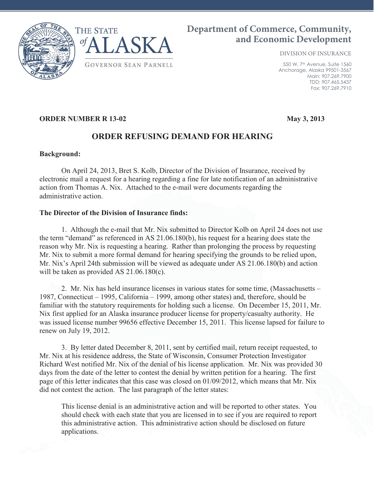



# **Department of Commerce, Community, and Economic Development**

DIVISION OF INSURANCE

550 W. 7th Avenue, Suite 1560 Anchorage, Alaska 99501-3567 Main: 907.269.7900 TDD: 907.465.5437 Fax: 907.269.7910

## **ORDER NUMBER R 13-02 May 3, 2013**

## **ORDER REFUSING DEMAND FOR HEARING**

#### **Background:**

On April 24, 2013, Bret S. Kolb, Director of the Division of Insurance, received by electronic mail a request for a hearing regarding a fine for late notification of an administrative action from Thomas A. Nix. Attached to the e-mail were documents regarding the administrative action.

## **The Director of the Division of Insurance finds:**

1. Although the e-mail that Mr. Nix submitted to Director Kolb on April 24 does not use the term "demand" as referenced in AS 21.06.180(b), his request for a hearing does state the reason why Mr. Nix is requesting a hearing. Rather than prolonging the process by requesting Mr. Nix to submit a more formal demand for hearing specifying the grounds to be relied upon, Mr. Nix's April 24th submission will be viewed as adequate under AS 21.06.180(b) and action will be taken as provided AS 21.06.180(c).

2. Mr. Nix has held insurance licenses in various states for some time, (Massachusetts – 1987, Connecticut – 1995, California – 1999, among other states) and, therefore, should be familiar with the statutory requirements for holding such a license. On December 15, 2011, Mr. Nix first applied for an Alaska insurance producer license for property/casualty authority. He was issued license number 99656 effective December 15, 2011. This license lapsed for failure to renew on July 19, 2012.

3. By letter dated December 8, 2011, sent by certified mail, return receipt requested, to Mr. Nix at his residence address, the State of Wisconsin, Consumer Protection Investigator Richard West notified Mr. Nix of the denial of his license application. Mr. Nix was provided 30 days from the date of the letter to contest the denial by written petition for a hearing. The first page of this letter indicates that this case was closed on 01/09/2012, which means that Mr. Nix did not contest the action. The last paragraph of the letter states:

This license denial is an administrative action and will be reported to other states. You should check with each state that you are licensed in to see if you are required to report this administrative action. This administrative action should be disclosed on future applications.